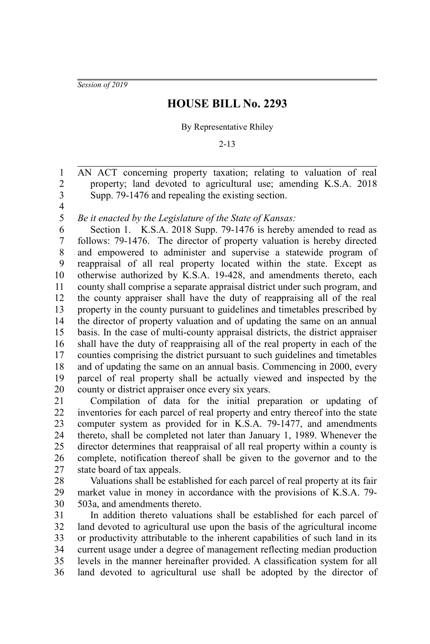*Session of 2019*

## **HOUSE BILL No. 2293**

## By Representative Rhiley

2-13

AN ACT concerning property taxation; relating to valuation of real property; land devoted to agricultural use; amending K.S.A. 2018 Supp. 79-1476 and repealing the existing section. 2 3

4 5

1

*Be it enacted by the Legislature of the State of Kansas:*

Section 1. K.S.A. 2018 Supp. 79-1476 is hereby amended to read as follows: 79-1476. The director of property valuation is hereby directed and empowered to administer and supervise a statewide program of reappraisal of all real property located within the state. Except as otherwise authorized by K.S.A. 19-428, and amendments thereto, each county shall comprise a separate appraisal district under such program, and the county appraiser shall have the duty of reappraising all of the real property in the county pursuant to guidelines and timetables prescribed by the director of property valuation and of updating the same on an annual basis. In the case of multi-county appraisal districts, the district appraiser shall have the duty of reappraising all of the real property in each of the counties comprising the district pursuant to such guidelines and timetables and of updating the same on an annual basis. Commencing in 2000, every parcel of real property shall be actually viewed and inspected by the county or district appraiser once every six years. 6 7 8 9 10 11 12 13 14 15 16 17 18 19 20

Compilation of data for the initial preparation or updating of inventories for each parcel of real property and entry thereof into the state computer system as provided for in K.S.A. 79-1477, and amendments thereto, shall be completed not later than January 1, 1989. Whenever the director determines that reappraisal of all real property within a county is complete, notification thereof shall be given to the governor and to the state board of tax appeals. 21 22 23 24 25 26 27

Valuations shall be established for each parcel of real property at its fair market value in money in accordance with the provisions of K.S.A. 79- 503a, and amendments thereto. 28 29 30

In addition thereto valuations shall be established for each parcel of land devoted to agricultural use upon the basis of the agricultural income or productivity attributable to the inherent capabilities of such land in its current usage under a degree of management reflecting median production levels in the manner hereinafter provided. A classification system for all land devoted to agricultural use shall be adopted by the director of 31 32 33 34 35 36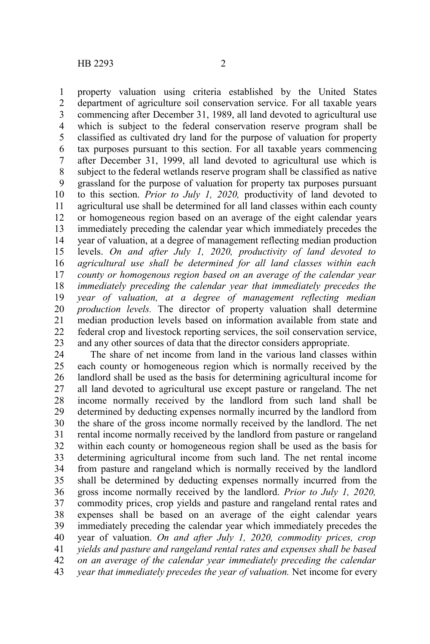property valuation using criteria established by the United States department of agriculture soil conservation service. For all taxable years commencing after December 31, 1989, all land devoted to agricultural use which is subject to the federal conservation reserve program shall be classified as cultivated dry land for the purpose of valuation for property tax purposes pursuant to this section. For all taxable years commencing after December 31, 1999, all land devoted to agricultural use which is subject to the federal wetlands reserve program shall be classified as native grassland for the purpose of valuation for property tax purposes pursuant

to this section. *Prior to July 1, 2020,* productivity of land devoted to agricultural use shall be determined for all land classes within each county or homogeneous region based on an average of the eight calendar years immediately preceding the calendar year which immediately precedes the year of valuation, at a degree of management reflecting median production levels. *On and after July 1, 2020, productivity of land devoted to agricultural use shall be determined for all land classes within each county or homogenous region based on an average of the calendar year immediately preceding the calendar year that immediately precedes the year of valuation, at a degree of management reflecting median production levels.* The director of property valuation shall determine median production levels based on information available from state and federal crop and livestock reporting services, the soil conservation service, and any other sources of data that the director considers appropriate. 9 10 11 12 13 14 15 16 17 18 19 20 21 22 23

The share of net income from land in the various land classes within each county or homogeneous region which is normally received by the landlord shall be used as the basis for determining agricultural income for all land devoted to agricultural use except pasture or rangeland. The net income normally received by the landlord from such land shall be determined by deducting expenses normally incurred by the landlord from the share of the gross income normally received by the landlord. The net rental income normally received by the landlord from pasture or rangeland within each county or homogeneous region shall be used as the basis for determining agricultural income from such land. The net rental income from pasture and rangeland which is normally received by the landlord shall be determined by deducting expenses normally incurred from the gross income normally received by the landlord. *Prior to July 1, 2020,* commodity prices, crop yields and pasture and rangeland rental rates and expenses shall be based on an average of the eight calendar years immediately preceding the calendar year which immediately precedes the year of valuation. *On and after July 1, 2020, commodity prices, crop yields and pasture and rangeland rental rates and expenses shall be based on an average of the calendar year immediately preceding the calendar year that immediately precedes the year of valuation.* Net income for every 24 25 26 27 28 29 30 31 32 33 34 35 36 37 38 39 40 41 42 43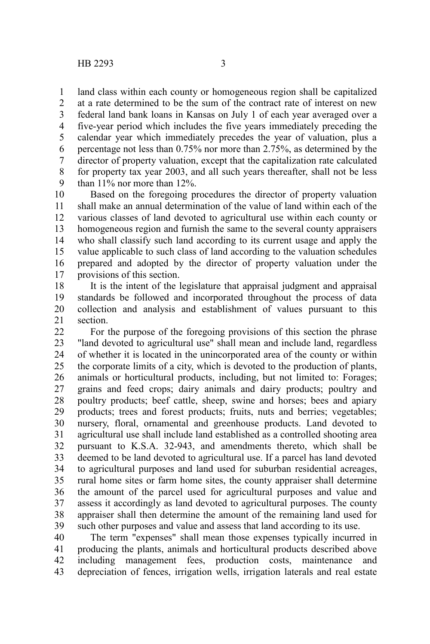land class within each county or homogeneous region shall be capitalized 1

at a rate determined to be the sum of the contract rate of interest on new federal land bank loans in Kansas on July 1 of each year averaged over a five-year period which includes the five years immediately preceding the calendar year which immediately precedes the year of valuation, plus a percentage not less than 0.75% nor more than 2.75%, as determined by the director of property valuation, except that the capitalization rate calculated for property tax year 2003, and all such years thereafter, shall not be less than 11% nor more than 12%. 2 3 4 5 6 7 8 9

Based on the foregoing procedures the director of property valuation shall make an annual determination of the value of land within each of the various classes of land devoted to agricultural use within each county or homogeneous region and furnish the same to the several county appraisers who shall classify such land according to its current usage and apply the value applicable to such class of land according to the valuation schedules prepared and adopted by the director of property valuation under the provisions of this section. 10 11 12 13 14 15 16 17

It is the intent of the legislature that appraisal judgment and appraisal standards be followed and incorporated throughout the process of data collection and analysis and establishment of values pursuant to this section. 18 19 20 21

For the purpose of the foregoing provisions of this section the phrase "land devoted to agricultural use" shall mean and include land, regardless of whether it is located in the unincorporated area of the county or within the corporate limits of a city, which is devoted to the production of plants, animals or horticultural products, including, but not limited to: Forages; grains and feed crops; dairy animals and dairy products; poultry and poultry products; beef cattle, sheep, swine and horses; bees and apiary products; trees and forest products; fruits, nuts and berries; vegetables; nursery, floral, ornamental and greenhouse products. Land devoted to agricultural use shall include land established as a controlled shooting area pursuant to K.S.A. 32-943, and amendments thereto, which shall be deemed to be land devoted to agricultural use. If a parcel has land devoted to agricultural purposes and land used for suburban residential acreages, rural home sites or farm home sites, the county appraiser shall determine the amount of the parcel used for agricultural purposes and value and assess it accordingly as land devoted to agricultural purposes. The county appraiser shall then determine the amount of the remaining land used for such other purposes and value and assess that land according to its use. 22 23 24 25 26 27 28 29 30 31 32 33 34 35 36 37 38 39

The term "expenses" shall mean those expenses typically incurred in producing the plants, animals and horticultural products described above including management fees, production costs, maintenance and depreciation of fences, irrigation wells, irrigation laterals and real estate 40 41 42 43